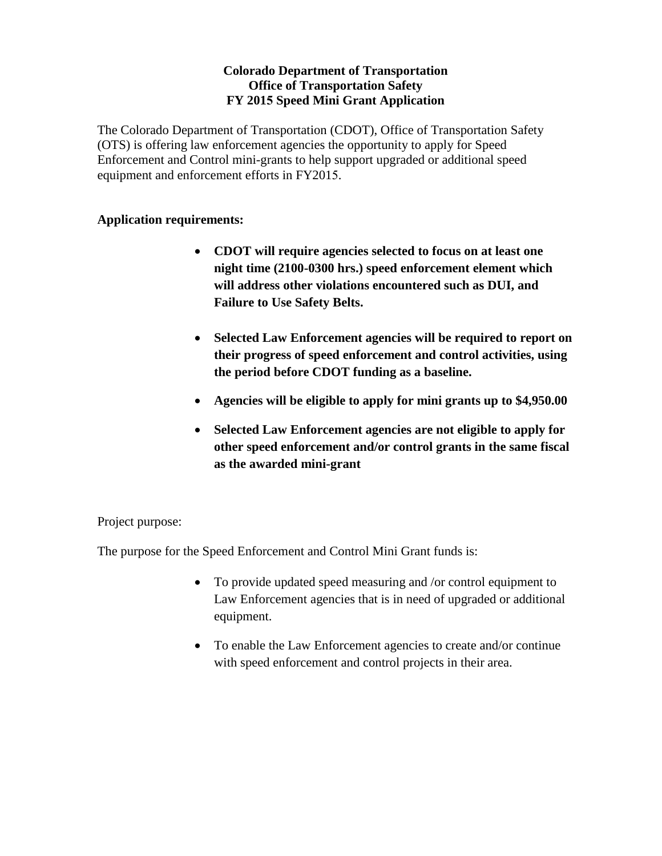# **Colorado Department of Transportation Office of Transportation Safety FY 2015 Speed Mini Grant Application**

The Colorado Department of Transportation (CDOT), Office of Transportation Safety (OTS) is offering law enforcement agencies the opportunity to apply for Speed Enforcement and Control mini-grants to help support upgraded or additional speed equipment and enforcement efforts in FY2015.

# **Application requirements:**

- **CDOT will require agencies selected to focus on at least one night time (2100-0300 hrs.) speed enforcement element which will address other violations encountered such as DUI, and Failure to Use Safety Belts.**
- **Selected Law Enforcement agencies will be required to report on their progress of speed enforcement and control activities, using the period before CDOT funding as a baseline.**
- **Agencies will be eligible to apply for mini grants up to \$4,950.00**
- **Selected Law Enforcement agencies are not eligible to apply for other speed enforcement and/or control grants in the same fiscal as the awarded mini-grant**

Project purpose:

The purpose for the Speed Enforcement and Control Mini Grant funds is:

- To provide updated speed measuring and /or control equipment to Law Enforcement agencies that is in need of upgraded or additional equipment.
- To enable the Law Enforcement agencies to create and/or continue with speed enforcement and control projects in their area.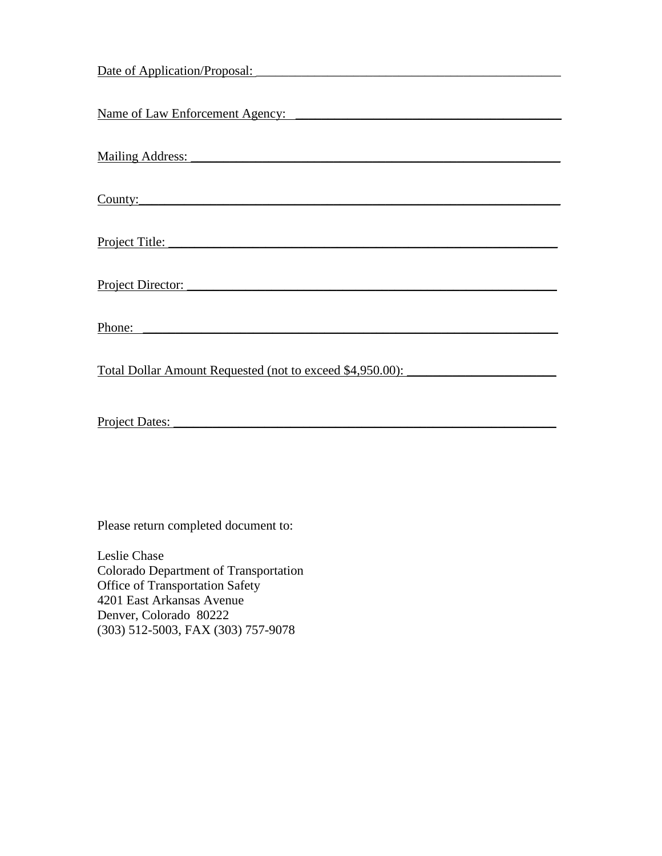| Date of Application/Proposal:                                    |
|------------------------------------------------------------------|
|                                                                  |
|                                                                  |
|                                                                  |
|                                                                  |
| <b>Mailing Address:</b>                                          |
|                                                                  |
|                                                                  |
| County:                                                          |
|                                                                  |
|                                                                  |
| Project Title:                                                   |
|                                                                  |
| Project Director:                                                |
|                                                                  |
|                                                                  |
|                                                                  |
|                                                                  |
| <u>Total Dollar Amount Requested (not to exceed \$4,950.00):</u> |
|                                                                  |
|                                                                  |
|                                                                  |
| Project Dates:                                                   |

Please return completed document to:

Leslie Chase Colorado Department of Transportation Office of Transportation Safety 4201 East Arkansas Avenue Denver, Colorado 80222 (303) 512-5003, FAX (303) 757-9078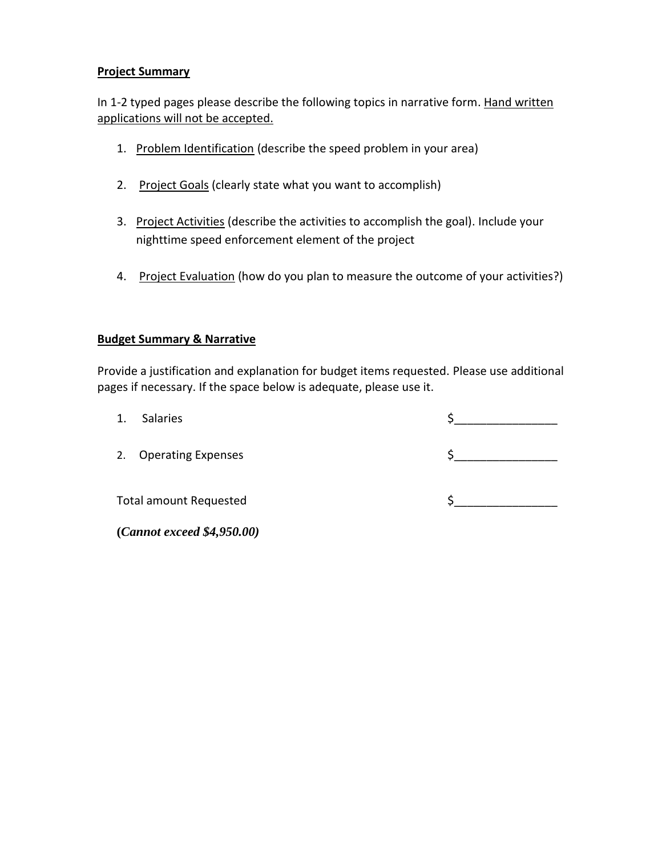# **Project Summary**

In 1-2 typed pages please describe the following topics in narrative form. Hand written applications will not be accepted.

- 1. Problem Identification (describe the speed problem in your area)
- 2. Project Goals (clearly state what you want to accomplish)
- 3. Project Activities (describe the activities to accomplish the goal). Include your nighttime speed enforcement element of the project
- 4. Project Evaluation (how do you plan to measure the outcome of your activities?)

#### **Budget Summary & Narrative**

Provide a justification and explanation for budget items requested. Please use additional pages if necessary. If the space below is adequate, please use it.

1. Salaries \$

2. Operating Expenses  $\zeta$ 

Total amount Requested  $\zeta$ 

**(***Cannot exceed \$4,950.00)*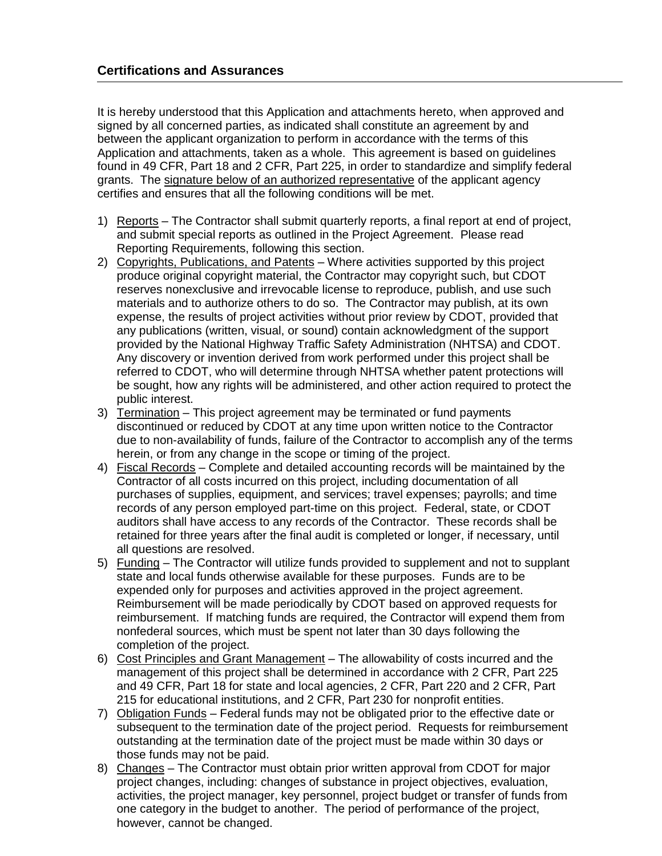It is hereby understood that this Application and attachments hereto, when approved and signed by all concerned parties, as indicated shall constitute an agreement by and between the applicant organization to perform in accordance with the terms of this Application and attachments, taken as a whole. This agreement is based on guidelines found in 49 CFR, Part 18 and 2 CFR, Part 225, in order to standardize and simplify federal grants. The signature below of an authorized representative of the applicant agency certifies and ensures that all the following conditions will be met.

- 1) Reports The Contractor shall submit quarterly reports, a final report at end of project, and submit special reports as outlined in the Project Agreement. Please read Reporting Requirements, following this section.
- 2) Copyrights, Publications, and Patents Where activities supported by this project produce original copyright material, the Contractor may copyright such, but CDOT reserves nonexclusive and irrevocable license to reproduce, publish, and use such materials and to authorize others to do so. The Contractor may publish, at its own expense, the results of project activities without prior review by CDOT, provided that any publications (written, visual, or sound) contain acknowledgment of the support provided by the National Highway Traffic Safety Administration (NHTSA) and CDOT. Any discovery or invention derived from work performed under this project shall be referred to CDOT, who will determine through NHTSA whether patent protections will be sought, how any rights will be administered, and other action required to protect the public interest.
- 3) Termination This project agreement may be terminated or fund payments discontinued or reduced by CDOT at any time upon written notice to the Contractor due to non-availability of funds, failure of the Contractor to accomplish any of the terms herein, or from any change in the scope or timing of the project.
- 4) Fiscal Records Complete and detailed accounting records will be maintained by the Contractor of all costs incurred on this project, including documentation of all purchases of supplies, equipment, and services; travel expenses; payrolls; and time records of any person employed part-time on this project. Federal, state, or CDOT auditors shall have access to any records of the Contractor. These records shall be retained for three years after the final audit is completed or longer, if necessary, until all questions are resolved.
- 5) Funding The Contractor will utilize funds provided to supplement and not to supplant state and local funds otherwise available for these purposes. Funds are to be expended only for purposes and activities approved in the project agreement. Reimbursement will be made periodically by CDOT based on approved requests for reimbursement. If matching funds are required, the Contractor will expend them from nonfederal sources, which must be spent not later than 30 days following the completion of the project.
- 6) Cost Principles and Grant Management The allowability of costs incurred and the management of this project shall be determined in accordance with 2 CFR, Part 225 and 49 CFR, Part 18 for state and local agencies, 2 CFR, Part 220 and 2 CFR, Part 215 for educational institutions, and 2 CFR, Part 230 for nonprofit entities.
- 7) Obligation Funds Federal funds may not be obligated prior to the effective date or subsequent to the termination date of the project period. Requests for reimbursement outstanding at the termination date of the project must be made within 30 days or those funds may not be paid.
- 8) Changes The Contractor must obtain prior written approval from CDOT for major project changes, including: changes of substance in project objectives, evaluation, activities, the project manager, key personnel, project budget or transfer of funds from one category in the budget to another. The period of performance of the project, however, cannot be changed.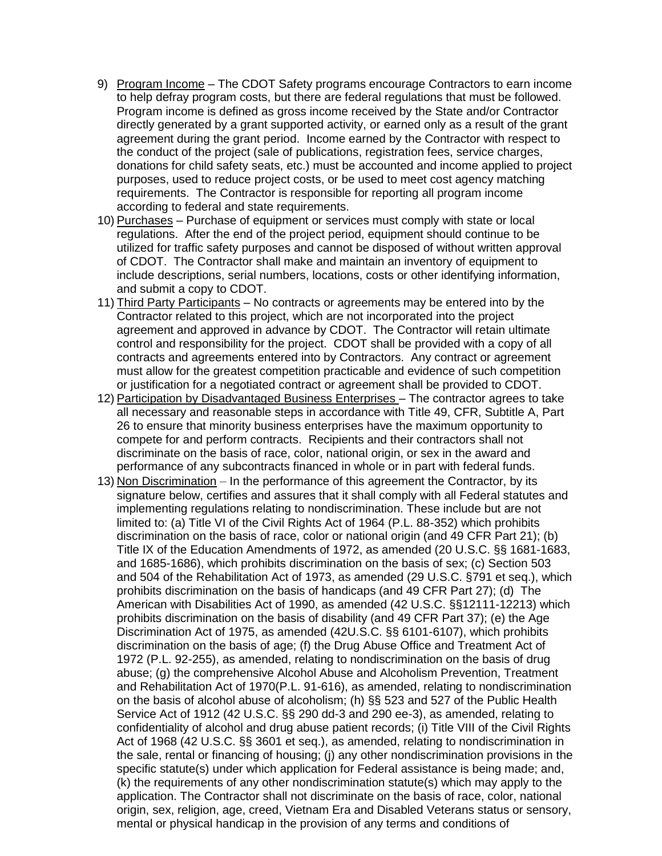- 9) Program Income The CDOT Safety programs encourage Contractors to earn income to help defray program costs, but there are federal regulations that must be followed. Program income is defined as gross income received by the State and/or Contractor directly generated by a grant supported activity, or earned only as a result of the grant agreement during the grant period. Income earned by the Contractor with respect to the conduct of the project (sale of publications, registration fees, service charges, donations for child safety seats, etc.) must be accounted and income applied to project purposes, used to reduce project costs, or be used to meet cost agency matching requirements. The Contractor is responsible for reporting all program income according to federal and state requirements.
- 10) Purchases Purchase of equipment or services must comply with state or local regulations. After the end of the project period, equipment should continue to be utilized for traffic safety purposes and cannot be disposed of without written approval of CDOT. The Contractor shall make and maintain an inventory of equipment to include descriptions, serial numbers, locations, costs or other identifying information, and submit a copy to CDOT.
- 11) Third Party Participants No contracts or agreements may be entered into by the Contractor related to this project, which are not incorporated into the project agreement and approved in advance by CDOT. The Contractor will retain ultimate control and responsibility for the project. CDOT shall be provided with a copy of all contracts and agreements entered into by Contractors. Any contract or agreement must allow for the greatest competition practicable and evidence of such competition or justification for a negotiated contract or agreement shall be provided to CDOT.
- 12) Participation by Disadvantaged Business Enterprises The contractor agrees to take all necessary and reasonable steps in accordance with Title 49, CFR, Subtitle A, Part 26 to ensure that minority business enterprises have the maximum opportunity to compete for and perform contracts. Recipients and their contractors shall not discriminate on the basis of race, color, national origin, or sex in the award and performance of any subcontracts financed in whole or in part with federal funds.
- 13) Non Discrimination In the performance of this agreement the Contractor, by its signature below, certifies and assures that it shall comply with all Federal statutes and implementing regulations relating to nondiscrimination. These include but are not limited to: (a) Title VI of the Civil Rights Act of 1964 (P.L. 88-352) which prohibits discrimination on the basis of race, color or national origin (and 49 CFR Part 21); (b) Title IX of the Education Amendments of 1972, as amended (20 U.S.C. §§ 1681-1683, and 1685-1686), which prohibits discrimination on the basis of sex; (c) Section 503 and 504 of the Rehabilitation Act of 1973, as amended (29 U.S.C. §791 et seq.), which prohibits discrimination on the basis of handicaps (and 49 CFR Part 27); (d) The American with Disabilities Act of 1990, as amended (42 U.S.C. §§12111-12213) which prohibits discrimination on the basis of disability (and 49 CFR Part 37); (e) the Age Discrimination Act of 1975, as amended (42U.S.C. §§ 6101-6107), which prohibits discrimination on the basis of age; (f) the Drug Abuse Office and Treatment Act of 1972 (P.L. 92-255), as amended, relating to nondiscrimination on the basis of drug abuse; (g) the comprehensive Alcohol Abuse and Alcoholism Prevention, Treatment and Rehabilitation Act of 1970(P.L. 91-616), as amended, relating to nondiscrimination on the basis of alcohol abuse of alcoholism; (h) §§ 523 and 527 of the Public Health Service Act of 1912 (42 U.S.C. §§ 290 dd-3 and 290 ee-3), as amended, relating to confidentiality of alcohol and drug abuse patient records; (i) Title VIII of the Civil Rights Act of 1968 (42 U.S.C. §§ 3601 et seq.), as amended, relating to nondiscrimination in the sale, rental or financing of housing; (j) any other nondiscrimination provisions in the specific statute(s) under which application for Federal assistance is being made; and, (k) the requirements of any other nondiscrimination statute(s) which may apply to the application. The Contractor shall not discriminate on the basis of race, color, national origin, sex, religion, age, creed, Vietnam Era and Disabled Veterans status or sensory, mental or physical handicap in the provision of any terms and conditions of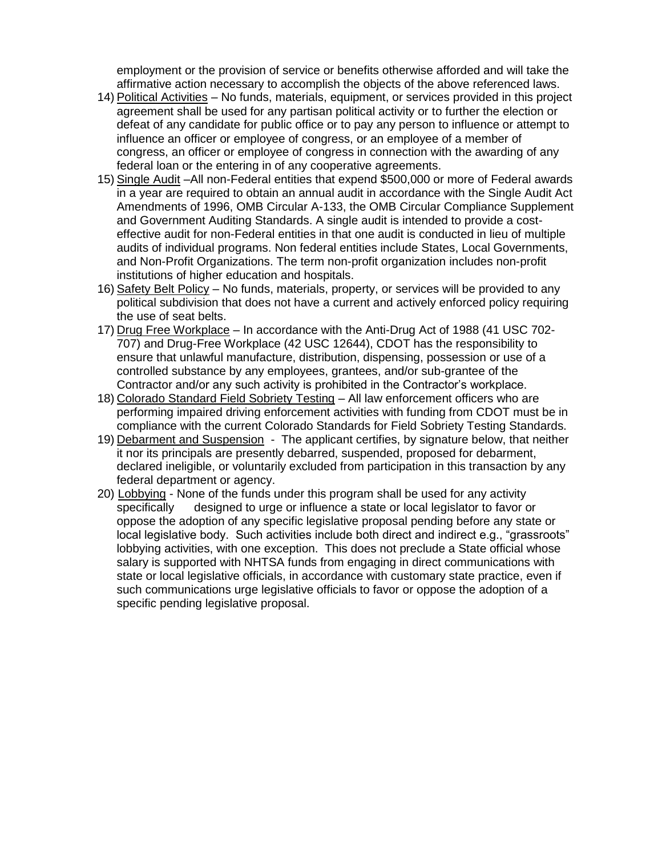employment or the provision of service or benefits otherwise afforded and will take the affirmative action necessary to accomplish the objects of the above referenced laws.

- 14) Political Activities No funds, materials, equipment, or services provided in this project agreement shall be used for any partisan political activity or to further the election or defeat of any candidate for public office or to pay any person to influence or attempt to influence an officer or employee of congress, or an employee of a member of congress, an officer or employee of congress in connection with the awarding of any federal loan or the entering in of any cooperative agreements.
- 15) Single Audit –All non-Federal entities that expend \$500,000 or more of Federal awards in a year are required to obtain an annual audit in accordance with the Single Audit Act Amendments of 1996, OMB Circular A-133, the OMB Circular Compliance Supplement and Government Auditing Standards. A single audit is intended to provide a costeffective audit for non-Federal entities in that one audit is conducted in lieu of multiple audits of individual programs. Non federal entities include States, Local Governments, and Non-Profit Organizations. The term non-profit organization includes non-profit institutions of higher education and hospitals.
- 16) Safety Belt Policy No funds, materials, property, or services will be provided to any political subdivision that does not have a current and actively enforced policy requiring the use of seat belts.
- 17) Drug Free Workplace In accordance with the Anti-Drug Act of 1988 (41 USC 702- 707) and Drug-Free Workplace (42 USC 12644), CDOT has the responsibility to ensure that unlawful manufacture, distribution, dispensing, possession or use of a controlled substance by any employees, grantees, and/or sub-grantee of the Contractor and/or any such activity is prohibited in the Contractor's workplace.
- 18) Colorado Standard Field Sobriety Testing All law enforcement officers who are performing impaired driving enforcement activities with funding from CDOT must be in compliance with the current Colorado Standards for Field Sobriety Testing Standards.
- 19) Debarment and Suspension The applicant certifies, by signature below, that neither it nor its principals are presently debarred, suspended, proposed for debarment, declared ineligible, or voluntarily excluded from participation in this transaction by any federal department or agency.
- 20) Lobbying None of the funds under this program shall be used for any activity specifically designed to urge or influence a state or local legislator to favor or oppose the adoption of any specific legislative proposal pending before any state or local legislative body. Such activities include both direct and indirect e.g., "grassroots" lobbying activities, with one exception. This does not preclude a State official whose salary is supported with NHTSA funds from engaging in direct communications with state or local legislative officials, in accordance with customary state practice, even if such communications urge legislative officials to favor or oppose the adoption of a specific pending legislative proposal.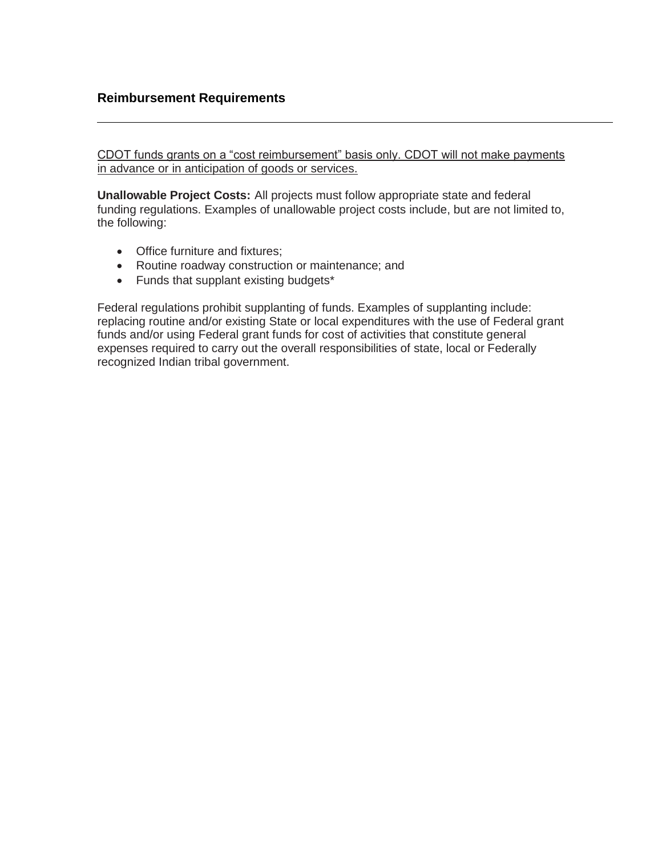## **Reimbursement Requirements**

CDOT funds grants on a "cost reimbursement" basis only. CDOT will not make payments in advance or in anticipation of goods or services.

**Unallowable Project Costs:** All projects must follow appropriate state and federal funding regulations. Examples of unallowable project costs include, but are not limited to, the following:

- Office furniture and fixtures:
- Routine roadway construction or maintenance; and
- Funds that supplant existing budgets\*

Federal regulations prohibit supplanting of funds. Examples of supplanting include: replacing routine and/or existing State or local expenditures with the use of Federal grant funds and/or using Federal grant funds for cost of activities that constitute general expenses required to carry out the overall responsibilities of state, local or Federally recognized Indian tribal government.